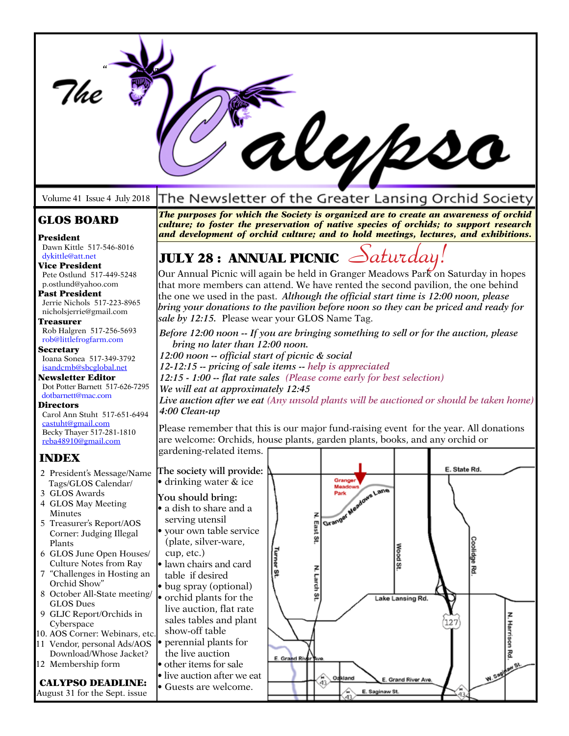|                                                                                                                                                                                                                                                                                                                                                                                                                                                                                                                                                                        | 1100                                                                                                                                                                                                                                                                                                                                                                                                                                                                                                                                                                                                                                                                                                                                                                                                                                                                                                                                                                                                                                                                                                                              |
|------------------------------------------------------------------------------------------------------------------------------------------------------------------------------------------------------------------------------------------------------------------------------------------------------------------------------------------------------------------------------------------------------------------------------------------------------------------------------------------------------------------------------------------------------------------------|-----------------------------------------------------------------------------------------------------------------------------------------------------------------------------------------------------------------------------------------------------------------------------------------------------------------------------------------------------------------------------------------------------------------------------------------------------------------------------------------------------------------------------------------------------------------------------------------------------------------------------------------------------------------------------------------------------------------------------------------------------------------------------------------------------------------------------------------------------------------------------------------------------------------------------------------------------------------------------------------------------------------------------------------------------------------------------------------------------------------------------------|
| Volume 41 Issue 4 July 2018                                                                                                                                                                                                                                                                                                                                                                                                                                                                                                                                            | The Newsletter of the Greater Lansing Orchid Society                                                                                                                                                                                                                                                                                                                                                                                                                                                                                                                                                                                                                                                                                                                                                                                                                                                                                                                                                                                                                                                                              |
| <b>GLOS BOARD</b><br>President                                                                                                                                                                                                                                                                                                                                                                                                                                                                                                                                         | The purposes for which the Society is organized are to create an awareness of orchid<br>culture; to foster the preservation of native species of orchids; to support research<br>and development of orchid culture; and to hold meetings, lectures, and exhibitions.                                                                                                                                                                                                                                                                                                                                                                                                                                                                                                                                                                                                                                                                                                                                                                                                                                                              |
| Dawn Kittle 517-546-8016<br>dykittle@att.net<br><b>Vice President</b><br>Pete Ostlund 517-449-5248<br>p.ostlund@yahoo.com<br>Past President<br>Jerrie Nichols 517-223-8965<br>nicholsjerrie@gmail.com<br>Treasurer<br>Rob Halgren 517-256-5693<br>rob@littlefrogfarm.com<br><b>Secretary</b><br>Ioana Sonea 517-349-3792<br>isandcmb@sbcglobal.net<br>Newsletter Editor<br>Dot Potter Barnett 517-626-7295<br>dotbarnett@mac.com<br>Directors<br>Carol Ann Stuht 517-651-6494<br>castuht@gmail.com<br>Becky Thayer 517-281-1810<br>reba48910@gmail.com<br><b>INDEX</b> | JULY 28 : ANNUAL PICNIC $\triangle$ aturday!<br>Our Annual Picnic will again be held in Granger Meadows Park on Saturday in hopes<br>that more members can attend. We have rented the second pavilion, the one behind<br>the one we used in the past. Although the official start time is 12:00 noon, please<br>bring your donations to the pavilion before noon so they can be priced and ready for<br>sale by 12:15. Please wear your GLOS Name Tag.<br>Before 12:00 noon -- If you are bringing something to sell or for the auction, please<br>bring no later than 12:00 noon.<br>12:00 noon -- official start of picnic & social<br>12-12:15 -- pricing of sale items -- help is appreciated<br>12:15 - 1:00 -- flat rate sales (Please come early for best selection)<br>We will eat at approximately 12:45<br>Live auction after we eat (Any unsold plants will be auctioned or should be taken home)<br>4:00 Clean-up<br>Please remember that this is our major fund-raising event for the year. All donations<br>are welcome: Orchids, house plants, garden plants, books, and any orchid or<br>gardening-related items. |
| 2 President's Message/Name<br>Tags/GLOS Calendar/<br>3 GLOS Awards<br>4 GLOS May Meeting<br>Minutes<br>5 Treasurer's Report/AOS<br>Corner: Judging Illegal<br>Plants<br>6 GLOS June Open Houses/<br>Culture Notes from Ray<br>7 "Challenges in Hosting an<br>Orchid Show"<br>8 October All-State meeting/<br><b>GLOS Dues</b><br>9 GLJC Report/Orchids in<br>Cyberspace<br>10. AOS Corner: Webinars, etc.<br>11 Vendor, personal Ads/AOS<br>Download/Whose Jacket?<br>12 Membership form<br><b>CALYPSO DEADLINE:</b><br>August 31 for the Sept. issue                  | E. State Rd.<br>The society will provide:<br>Granger<br>• drinking water & ice<br>Granger Needows Lane<br>You should bring:<br>• a dish to share and a<br>serving utensil<br>East St<br>• your own table service<br>(plate, silver-ware,<br>Coolidge Rd<br>Wood St<br>cup, etc.)<br>urner St<br>· lawn chairs and card<br>table if desired<br>Larch St<br>• bug spray (optional)<br>• orchid plants for the<br>Lake Lansing Rd.<br>live auction, flat rate<br>sales tables and plant<br>L27<br>show-off table<br>• perennial plants for<br>the live auction<br>E. Grand River Ave<br>• other items for sale<br><b>VI.Sagy</b><br>• live auction after we eat<br>Oakland<br>E. Grand River Ave.<br>43.<br>Guests are welcome.<br>E. Saginaw St.<br>$\langle 43 \rangle$                                                                                                                                                                                                                                                                                                                                                            |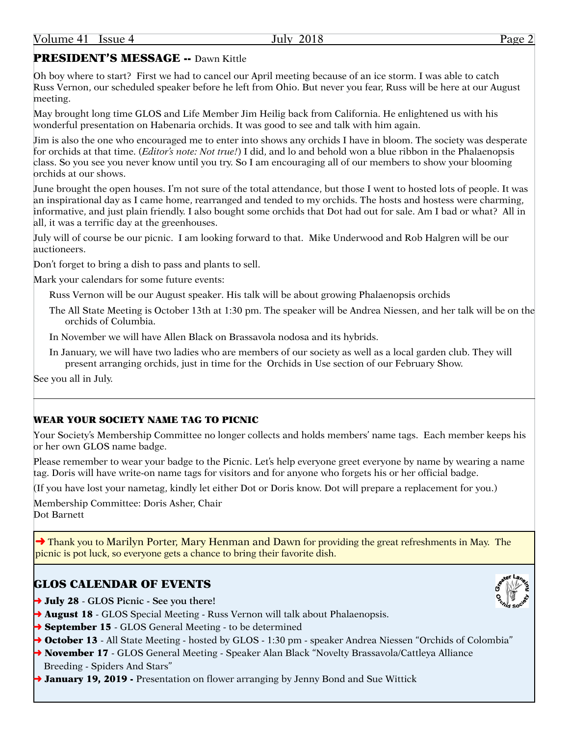## PRESIDENT'S MESSAGE -- Dawn Kittle

Oh boy where to start? First we had to cancel our April meeting because of an ice storm. I was able to catch Russ Vernon, our scheduled speaker before he left from Ohio. But never you fear, Russ will be here at our August meeting.

May brought long time GLOS and Life Member Jim Heilig back from California. He enlightened us with his wonderful presentation on Habenaria orchids. It was good to see and talk with him again.

Jim is also the one who encouraged me to enter into shows any orchids I have in bloom. The society was desperate for orchids at that time. (*Editor's note: Not true!*) I did, and lo and behold won a blue ribbon in the Phalaenopsis class. So you see you never know until you try. So I am encouraging all of our members to show your blooming orchids at our shows.

June brought the open houses. I'm not sure of the total attendance, but those I went to hosted lots of people. It was an inspirational day as I came home, rearranged and tended to my orchids. The hosts and hostess were charming, informative, and just plain friendly. I also bought some orchids that Dot had out for sale. Am I bad or what? All in all, it was a terrific day at the greenhouses.

July will of course be our picnic. I am looking forward to that. Mike Underwood and Rob Halgren will be our auctioneers.

Don't forget to bring a dish to pass and plants to sell.

Mark your calendars for some future events:

Russ Vernon will be our August speaker. His talk will be about growing Phalaenopsis orchids

- The All State Meeting is October 13th at 1:30 pm. The speaker will be Andrea Niessen, and her talk will be on the orchids of Columbia.
- In November we will have Allen Black on Brassavola nodosa and its hybrids.
- In January, we will have two ladies who are members of our society as well as a local garden club. They will present arranging orchids, just in time for the Orchids in Use section of our February Show.

See you all in July.

#### WEAR YOUR SOCIETY NAME TAG TO PICNIC

Your Society's Membership Committee no longer collects and holds members' name tags. Each member keeps his or her own GLOS name badge.

Please remember to wear your badge to the Picnic. Let's help everyone greet everyone by name by wearing a name tag. Doris will have write-on name tags for visitors and for anyone who forgets his or her official badge.

(If you have lost your nametag, kindly let either Dot or Doris know. Dot will prepare a replacement for you.)

Membership Committee: Doris Asher, Chair Dot Barnett

➜ Thank you to Marilyn Porter, Mary Henman and Dawn for providing the great refreshments in May. The picnic is pot luck, so everyone gets a chance to bring their favorite dish.

## GLOS CALENDAR OF EVENTS

- ➜ July 28 **GLOS Picnic See you there!**
- **→ August 18** GLOS Special Meeting Russ Vernon will talk about Phalaenopsis.
- **→ September 15** GLOS General Meeting to be determined
- → October 13 All State Meeting hosted by GLOS 1:30 pm speaker Andrea Niessen "Orchids of Colombia"
- → November 17 GLOS General Meeting Speaker Alan Black "Novelty Brassavola/Cattleya Alliance Breeding - Spiders And Stars"
- **→ January 19, 2019 -** Presentation on flower arranging by Jenny Bond and Sue Wittick

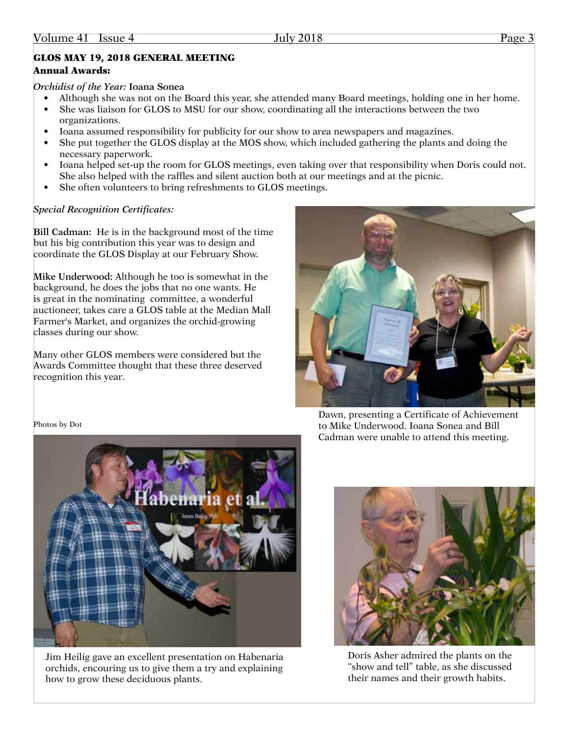## GLOS MAY 19, 2018 GENERAL MEETING

### Annual Awards:

### *Orchidist of the Year:* **Ioana Sonea**

- Although she was not on the Board this year, she attended many Board meetings, holding one in her home.
- She was liaison for GLOS to MSU for our show, coordinating all the interactions between the two organizations.
- Ioana assumed responsibility for publicity for our show to area newspapers and magazines.
- She put together the GLOS display at the MOS show, which included gathering the plants and doing the necessary paperwork.
- Ioana helped set-up the room for GLOS meetings, even taking over that responsibility when Doris could not. She also helped with the raffles and silent auction both at our meetings and at the picnic.
- She often volunteers to bring refreshments to GLOS meetings.

## *Special Recognition Certificates:*

**Bill Cadman:** He is in the background most of the time but his big contribution this year was to design and coordinate the GLOS Display at our February Show.

**Mike Underwood:** Although he too is somewhat in the background, he does the jobs that no one wants. He is great in the nominating committee, a wonderful auctioneer, takes care a GLOS table at the Median Mall Farmer's Market, and organizes the orchid-growing classes during our show.

Many other GLOS members were considered but the Awards Committee thought that these three deserved recognition this year.



Dawn, presenting a Certificate of Achievement to Mike Underwood. Ioana Sonea and Bill Cadman were unable to attend this meeting.

Photos by Dot



Jim Heilig gave an excellent presentation on Habenaria orchids, encouring us to give them a try and explaining how to grow these deciduous plants.



Doris Asher admired the plants on the "show and tell" table, as she discussed their names and their growth habits.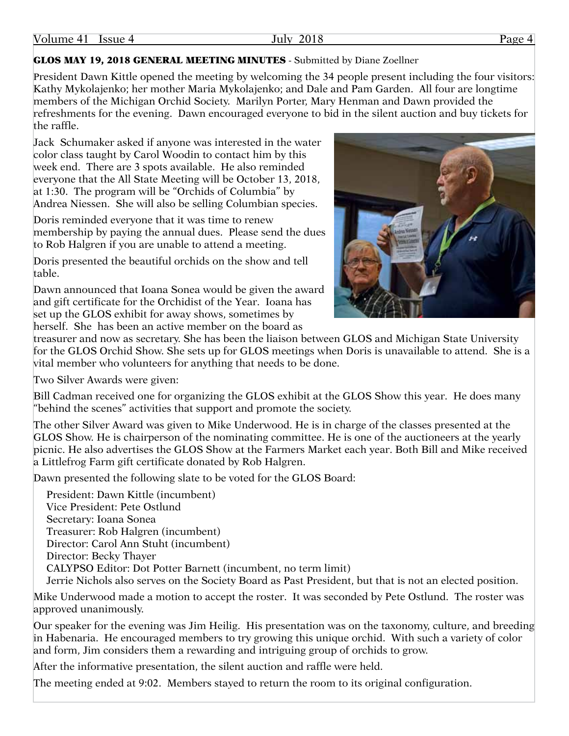## Volume 41 Issue 4 July 2018 July 2018 Page 4

#### GLOS MAY 19, 2018 GENERAL MEETING MINUTES - Submitted by Diane Zoellner

President Dawn Kittle opened the meeting by welcoming the 34 people present including the four visitors: Kathy Mykolajenko; her mother Maria Mykolajenko; and Dale and Pam Garden. All four are longtime members of the Michigan Orchid Society. Marilyn Porter, Mary Henman and Dawn provided the refreshments for the evening. Dawn encouraged everyone to bid in the silent auction and buy tickets for the raffle.

Jack Schumaker asked if anyone was interested in the water color class taught by Carol Woodin to contact him by this week end. There are 3 spots available. He also reminded everyone that the All State Meeting will be October 13, 2018, at 1:30. The program will be "Orchids of Columbia" by Andrea Niessen. She will also be selling Columbian species.

Doris reminded everyone that it was time to renew membership by paying the annual dues. Please send the dues to Rob Halgren if you are unable to attend a meeting.

Doris presented the beautiful orchids on the show and tell table.

Dawn announced that Ioana Sonea would be given the award and gift certificate for the Orchidist of the Year. Ioana has set up the GLOS exhibit for away shows, sometimes by herself. She has been an active member on the board as



treasurer and now as secretary. She has been the liaison between GLOS and Michigan State University for the GLOS Orchid Show. She sets up for GLOS meetings when Doris is unavailable to attend. She is a vital member who volunteers for anything that needs to be done.

Two Silver Awards were given:

Bill Cadman received one for organizing the GLOS exhibit at the GLOS Show this year. He does many "behind the scenes" activities that support and promote the society.

The other Silver Award was given to Mike Underwood. He is in charge of the classes presented at the GLOS Show. He is chairperson of the nominating committee. He is one of the auctioneers at the yearly picnic. He also advertises the GLOS Show at the Farmers Market each year. Both Bill and Mike received a Littlefrog Farm gift certificate donated by Rob Halgren.

Dawn presented the following slate to be voted for the GLOS Board:

President: Dawn Kittle (incumbent) Vice President: Pete Ostlund Secretary: Ioana Sonea Treasurer: Rob Halgren (incumbent) Director: Carol Ann Stuht (incumbent) Director: Becky Thayer CALYPSO Editor: Dot Potter Barnett (incumbent, no term limit) Jerrie Nichols also serves on the Society Board as Past President, but that is not an elected position.

Mike Underwood made a motion to accept the roster. It was seconded by Pete Ostlund. The roster was approved unanimously.

Our speaker for the evening was Jim Heilig. His presentation was on the taxonomy, culture, and breeding in Habenaria. He encouraged members to try growing this unique orchid. With such a variety of color and form, Jim considers them a rewarding and intriguing group of orchids to grow.

After the informative presentation, the silent auction and raffle were held.

The meeting ended at 9:02. Members stayed to return the room to its original configuration.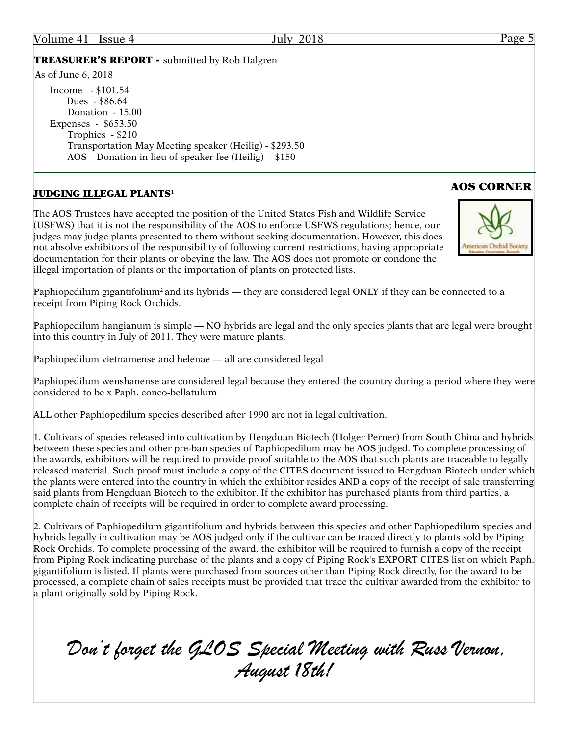#### Volume 41 Issue 4 July 2018 Page 5

TREASURER'S REPORT - submitted by Rob Halgren

As of June 6, 2018

Income - \$101.54 Dues - \$86.64 Donation - 15.00 Expenses - \$653.50 Trophies - \$210 Transportation May Meeting speaker (Heilig) - \$293.50 AOS – Donation in lieu of speaker fee (Heilig) - \$150

## AOS CORNER JUDGING ILLEGAL PLANTS1

The AOS Trustees have accepted the position of the United States Fish and Wildlife Service (USFWS) that it is not the responsibility of the AOS to enforce USFWS regulations; hence, our judges may judge plants presented to them without seeking documentation. However, this does not absolve exhibitors of the responsibility of following current restrictions, having appropriate documentation for their plants or obeying the law. The AOS does not promote or condone the illegal importation of plants or the importation of plants on protected lists.

Paphiopedilum gigantifolium<sup>2</sup> and its hybrids — they are considered legal ONLY if they can be connected to a receipt from Piping Rock Orchids.

Paphiopedilum hangianum is simple — NO hybrids are legal and the only species plants that are legal were brought into this country in July of 2011. They were mature plants.

Paphiopedilum vietnamense and helenae — all are considered legal

Paphiopedilum wenshanense are considered legal because they entered the country during a period where they were considered to be x Paph. conco-bellatulum

ALL other Paphiopedilum species described after 1990 are not in legal cultivation.

1. Cultivars of species released into cultivation by Hengduan Biotech (Holger Perner) from South China and hybrids between these species and other pre-ban species of Paphiopedilum may be AOS judged. To complete processing of the awards, exhibitors will be required to provide proof suitable to the AOS that such plants are traceable to legally released material. Such proof must include a copy of the CITES document issued to Hengduan Biotech under which the plants were entered into the country in which the exhibitor resides AND a copy of the receipt of sale transferring said plants from Hengduan Biotech to the exhibitor. If the exhibitor has purchased plants from third parties, a complete chain of receipts will be required in order to complete award processing.

2. Cultivars of Paphiopedilum gigantifolium and hybrids between this species and other Paphiopedilum species and hybrids legally in cultivation may be AOS judged only if the cultivar can be traced directly to plants sold by Piping Rock Orchids. To complete processing of the award, the exhibitor will be required to furnish a copy of the receipt from Piping Rock indicating purchase of the plants and a copy of Piping Rock's EXPORT CITES list on which Paph. gigantifolium is listed. If plants were purchased from sources other than Piping Rock directly, for the award to be processed, a complete chain of sales receipts must be provided that trace the cultivar awarded from the exhibitor to a plant originally sold by Piping Rock.

 *Don't forget the GLOS Special Meeting with Russ Vernon, August 18th!*

# American Orchid Soc

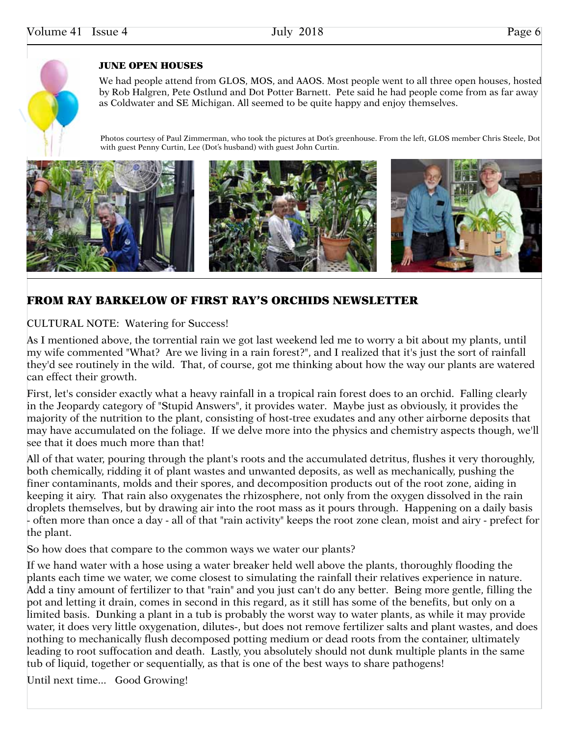

#### JUNE OPEN HOUSES

We had people attend from GLOS, MOS, and AAOS. Most people went to all three open houses, hosted by Rob Halgren, Pete Ostlund and Dot Potter Barnett. Pete said he had people come from as far away as Coldwater and SE Michigan. All seemed to be quite happy and enjoy themselves.

Photos courtesy of Paul Zimmerman, who took the pictures at Dot's greenhouse. From the left, GLOS member Chris Steele, Dot with guest Penny Curtin, Lee (Dot's husband) with guest John Curtin.



## FROM RAY BARKELOW OF FIRST RAY'S ORCHIDS NEWSLETTER

### CULTURAL NOTE: Watering for Success!

As I mentioned above, the torrential rain we got last weekend led me to worry a bit about my plants, until my wife commented "What? Are we living in a rain forest?", and I realized that it's just the sort of rainfall they'd see routinely in the wild. That, of course, got me thinking about how the way our plants are watered can effect their growth.

First, let's consider exactly what a heavy rainfall in a tropical rain forest does to an orchid. Falling clearly in the Jeopardy category of "Stupid Answers", it provides water. Maybe just as obviously, it provides the majority of the nutrition to the plant, consisting of host-tree exudates and any other airborne deposits that may have accumulated on the foliage. If we delve more into the physics and chemistry aspects though, we'll see that it does much more than that!

All of that water, pouring through the plant's roots and the accumulated detritus, flushes it very thoroughly, both chemically, ridding it of plant wastes and unwanted deposits, as well as mechanically, pushing the finer contaminants, molds and their spores, and decomposition products out of the root zone, aiding in keeping it airy. That rain also oxygenates the rhizosphere, not only from the oxygen dissolved in the rain droplets themselves, but by drawing air into the root mass as it pours through. Happening on a daily basis - often more than once a day - all of that "rain activity" keeps the root zone clean, moist and airy - prefect for the plant.

So how does that compare to the common ways we water our plants?

If we hand water with a hose using a water breaker held well above the plants, thoroughly flooding the plants each time we water, we come closest to simulating the rainfall their relatives experience in nature. Add a tiny amount of fertilizer to that "rain" and you just can't do any better. Being more gentle, filling the pot and letting it drain, comes in second in this regard, as it still has some of the benefits, but only on a limited basis. Dunking a plant in a tub is probably the worst way to water plants, as while it may provide water, it does very little oxygenation, dilutes-, but does not remove fertilizer salts and plant wastes, and does nothing to mechanically flush decomposed potting medium or dead roots from the container, ultimately leading to root suffocation and death. Lastly, you absolutely should not dunk multiple plants in the same tub of liquid, together or sequentially, as that is one of the best ways to share pathogens!

Until next time... Good Growing!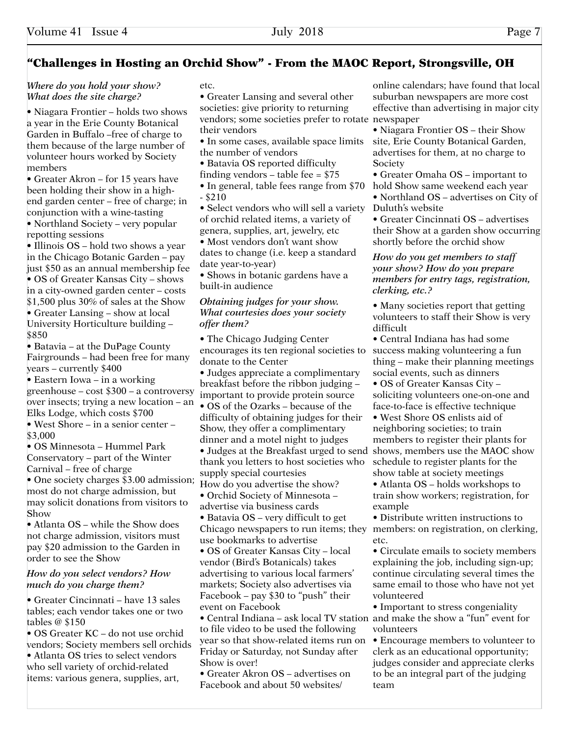### "Challenges in Hosting an Orchid Show" - From the MAOC Report, Strongsville, OH

#### *Where do you hold your show? What does the site charge?*

• Niagara Frontier – holds two shows a year in the Erie County Botanical Garden in Buffalo –free of charge to them because of the large number of volunteer hours worked by Society members

• Greater Akron – for 15 years have been holding their show in a highend garden center – free of charge; in conjunction with a wine-tasting

• Northland Society – very popular repotting sessions

• Illinois OS – hold two shows a year in the Chicago Botanic Garden – pay just \$50 as an annual membership fee • OS of Greater Kansas City – shows in a city-owned garden center – costs \$1,500 plus 30% of sales at the Show • Greater Lansing – show at local University Horticulture building – \$850

• Batavia – at the DuPage County Fairgrounds – had been free for many years – currently \$400

• Eastern Iowa – in a working greenhouse – cost \$300 – a controversy over insects; trying a new location – an Elks Lodge, which costs \$700

• West Shore – in a senior center – \$3,000

• OS Minnesota – Hummel Park Conservatory – part of the Winter Carnival – free of charge

• One society charges \$3.00 admission; most do not charge admission, but may solicit donations from visitors to Show

• Atlanta OS – while the Show does not charge admission, visitors must pay \$20 admission to the Garden in order to see the Show

#### *How do you select vendors? How much do you charge them?*

• Greater Cincinnati – have 13 sales tables; each vendor takes one or two tables @ \$150

• OS Greater KC – do not use orchid vendors; Society members sell orchids • Atlanta OS tries to select vendors who sell variety of orchid-related items: various genera, supplies, art,

#### etc.

• Greater Lansing and several other societies: give priority to returning vendors; some societies prefer to rotate newspaper their vendors

- In some cases, available space limits the number of vendors
- Batavia OS reported difficulty
- finding vendors table fee = \$75
- In general, table fees range from \$70 - \$210

• Select vendors who will sell a variety of orchid related items, a variety of genera, supplies, art, jewelry, etc

• Most vendors don't want show dates to change (i.e. keep a standard date year-to-year)

• Shows in botanic gardens have a built-in audience

#### *Obtaining judges for your show. What courtesies does your society offer them?*

• The Chicago Judging Center encourages its ten regional societies to donate to the Center

• Judges appreciate a complimentary breakfast before the ribbon judging – important to provide protein source

• OS of the Ozarks – because of the difficulty of obtaining judges for their Show, they offer a complimentary dinner and a motel night to judges

• Judges at the Breakfast urged to send thank you letters to host societies who supply special courtesies

How do you advertise the show? • Orchid Society of Minnesota –

advertise via business cards

• Batavia OS – very difficult to get Chicago newspapers to run items; they members: on registration, on clerking, use bookmarks to advertise

• OS of Greater Kansas City – local vendor (Bird's Botanicals) takes advertising to various local farmers' markets; Society also advertises via Facebook – pay \$30 to "push" their event on Facebook

• Central Indiana – ask local TV station and make the show a "fun" event for to file video to be used the following year so that show-related items run on Friday or Saturday, not Sunday after Show is over!

• Greater Akron OS – advertises on Facebook and about 50 websites/

online calendars; have found that local suburban newspapers are more cost effective than advertising in major city

• Niagara Frontier OS – their Show site, Erie County Botanical Garden, advertises for them, at no charge to **Society** 

• Greater Omaha OS – important to

hold Show same weekend each year • Northland OS – advertises on City of Duluth's website

• Greater Cincinnati OS – advertises their Show at a garden show occurring shortly before the orchid show

#### *How do you get members to staff your show? How do you prepare members for entry tags, registration, clerking, etc.?*

• Many societies report that getting volunteers to staff their Show is very difficult

• Central Indiana has had some success making volunteering a fun thing – make their planning meetings social events, such as dinners

• OS of Greater Kansas City – soliciting volunteers one-on-one and face-to-face is effective technique

• West Shore OS enlists aid of neighboring societies; to train members to register their plants for shows, members use the MAOC show schedule to register plants for the show table at society meetings

• Atlanta OS – holds workshops to train show workers; registration, for example

• Distribute written instructions to etc.

• Circulate emails to society members explaining the job, including sign-up; continue circulating several times the same email to those who have not yet volunteered

• Important to stress congeniality volunteers

• Encourage members to volunteer to clerk as an educational opportunity; judges consider and appreciate clerks to be an integral part of the judging team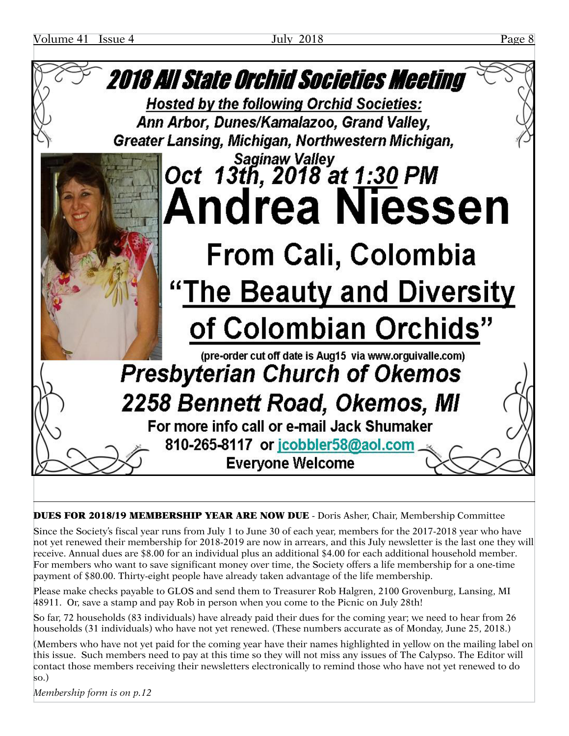

DUES FOR 2018/19 MEMBERSHIP YEAR ARE NOW DUE - Doris Asher, Chair, Membership Committee

Since the Society's fiscal year runs from July 1 to June 30 of each year, members for the 2017-2018 year who have not yet renewed their membership for 2018-2019 are now in arrears, and this July newsletter is the last one they will receive. Annual dues are \$8.00 for an individual plus an additional \$4.00 for each additional household member. For members who want to save significant money over time, the Society offers a life membership for a one-time payment of \$80.00. Thirty-eight people have already taken advantage of the life membership.

Please make checks payable to GLOS and send them to Treasurer Rob Halgren, 2100 Grovenburg, Lansing, MI 48911. Or, save a stamp and pay Rob in person when you come to the Picnic on July 28th!

So far, 72 households (83 individuals) have already paid their dues for the coming year; we need to hear from 26 households (31 individuals) who have not yet renewed. (These numbers accurate as of Monday, June 25, 2018.)

(Members who have not yet paid for the coming year have their names highlighted in yellow on the mailing label on this issue. Such members need to pay at this time so they will not miss any issues of The Calypso. The Editor will contact those members receiving their newsletters electronically to remind those who have not yet renewed to do so.)

*Membership form is on p.12*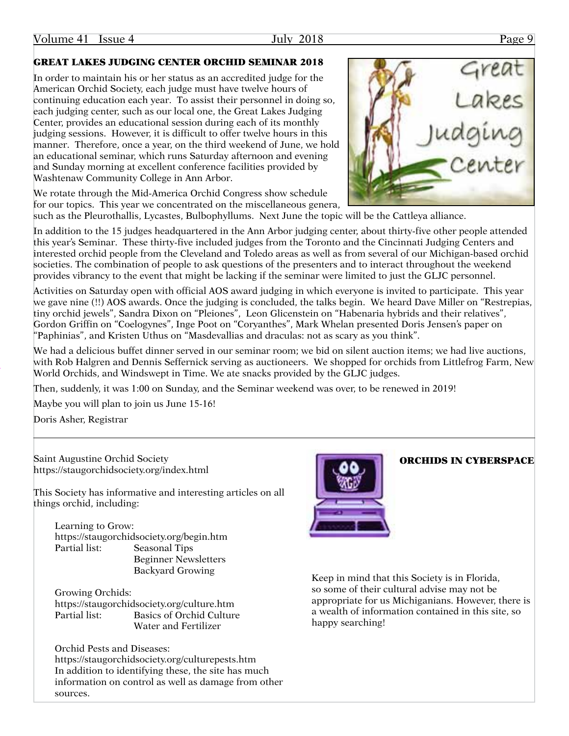#### Volume 41 Issue 4 July 2018 July 2018 Page 9

## GREAT LAKES JUDGING CENTER ORCHID SEMINAR 2018

In order to maintain his or her status as an accredited judge for the American Orchid Society, each judge must have twelve hours of continuing education each year. To assist their personnel in doing so, each judging center, such as our local one, the Great Lakes Judging Center, provides an educational session during each of its monthly judging sessions. However, it is difficult to offer twelve hours in this manner. Therefore, once a year, on the third weekend of June, we hold an educational seminar, which runs Saturday afternoon and evening and Sunday morning at excellent conference facilities provided by Washtenaw Community College in Ann Arbor.

We rotate through the Mid-America Orchid Congress show schedule for our topics. This year we concentrated on the miscellaneous genera,



such as the Pleurothallis, Lycastes, Bulbophyllums. Next June the topic will be the Cattleya alliance.

In addition to the 15 judges headquartered in the Ann Arbor judging center, about thirty-five other people attended this year's Seminar. These thirty-five included judges from the Toronto and the Cincinnati Judging Centers and interested orchid people from the Cleveland and Toledo areas as well as from several of our Michigan-based orchid societies. The combination of people to ask questions of the presenters and to interact throughout the weekend provides vibrancy to the event that might be lacking if the seminar were limited to just the GLJC personnel.

Activities on Saturday open with official AOS award judging in which everyone is invited to participate. This year we gave nine (!!) AOS awards. Once the judging is concluded, the talks begin. We heard Dave Miller on "Restrepias, tiny orchid jewels", Sandra Dixon on "Pleiones", Leon Glicenstein on "Habenaria hybrids and their relatives", Gordon Griffin on "Coelogynes", Inge Poot on "Coryanthes", Mark Whelan presented Doris Jensen's paper on "Paphinias", and Kristen Uthus on "Masdevallias and draculas: not as scary as you think".

We had a delicious buffet dinner served in our seminar room; we bid on silent auction items; we had live auctions, with Rob Halgren and Dennis Seffernick serving as auctioneers. We shopped for orchids from Littlefrog Farm, New World Orchids, and Windswept in Time. We ate snacks provided by the GLJC judges.

Then, suddenly, it was 1:00 on Sunday, and the Seminar weekend was over, to be renewed in 2019!

Maybe you will plan to join us June 15-16!

Doris Asher, Registrar

Saint Augustine Orchid Society **ORCHIDS IN CYBERSPACE** https://staugorchidsociety.org/index.html

This Society has informative and interesting articles on all things orchid, including:

Learning to Grow: https://staugorchidsociety.org/begin.htm Partial list: Seasonal Tips Beginner Newsletters Backyard Growing

Growing Orchids: https://staugorchidsociety.org/culture.htm Partial list: Basics of Orchid Culture Water and Fertilizer

Orchid Pests and Diseases: https://staugorchidsociety.org/culturepests.htm In addition to identifying these, the site has much information on control as well as damage from other sources.



Keep in mind that this Society is in Florida, so some of their cultural advise may not be appropriate for us Michiganians. However, there is a wealth of information contained in this site, so happy searching!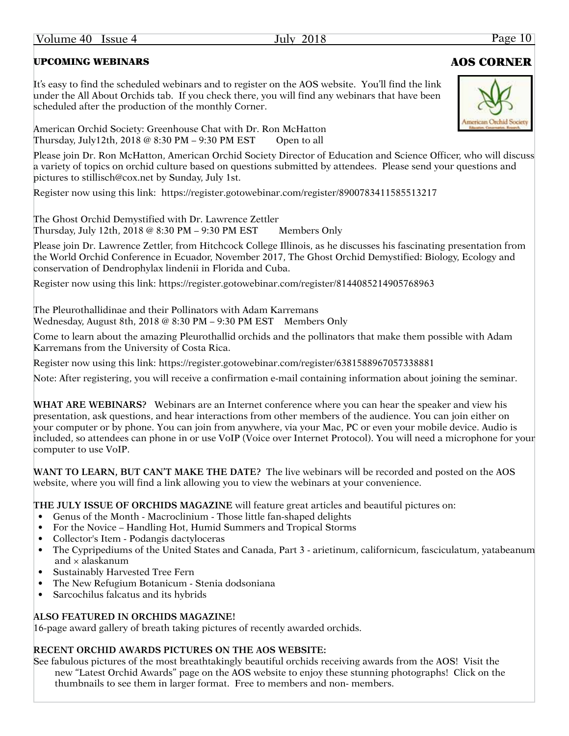### UPCOMING WEBINARS AOS CORNER

It's easy to find the scheduled webinars and to register on the AOS website. You'll find the link under the All About Orchids tab. If you check there, you will find any webinars that have been scheduled after the production of the monthly Corner.

American Orchid Society: Greenhouse Chat with Dr. Ron McHatton Thursday, July12th, 2018  $@ 8:30 PM - 9:30 PM EST$  Open to all

Please join Dr. Ron McHatton, American Orchid Society Director of Education and Science Officer, who will discuss a variety of topics on orchid culture based on questions submitted by attendees. Please send your questions and pictures to stillisch@cox.net by Sunday, July 1st.

Register now using this link: https://register.gotowebinar.com/register/8900783411585513217

The Ghost Orchid Demystified with Dr. Lawrence Zettler Thursday, July 12th,  $2018 \& 8:30 \text{ PM} - 9:30 \text{ PM EST}$  Members Only

Please join Dr. Lawrence Zettler, from Hitchcock College Illinois, as he discusses his fascinating presentation from the World Orchid Conference in Ecuador, November 2017, The Ghost Orchid Demystified: Biology, Ecology and conservation of Dendrophylax lindenii in Florida and Cuba.

Register now using this link: https://register.gotowebinar.com/register/8144085214905768963

The Pleurothallidinae and their Pollinators with Adam Karremans Wednesday, August 8th, 2018 @ 8:30 PM – 9:30 PM EST Members Only

Come to learn about the amazing Pleurothallid orchids and the pollinators that make them possible with Adam Karremans from the University of Costa Rica.

Register now using this link: https://register.gotowebinar.com/register/6381588967057338881

Note: After registering, you will receive a confirmation e-mail containing information about joining the seminar.

**WHAT ARE WEBINARS?** Webinars are an Internet conference where you can hear the speaker and view his presentation, ask questions, and hear interactions from other members of the audience. You can join either on your computer or by phone. You can join from anywhere, via your Mac, PC or even your mobile device. Audio is included, so attendees can phone in or use VoIP (Voice over Internet Protocol). You will need a microphone for your computer to use VoIP.

**WANT TO LEARN, BUT CAN'T MAKE THE DATE?** The live webinars will be recorded and posted on the AOS website, where you will find a link allowing you to view the webinars at your convenience.

**THE JULY ISSUE OF ORCHIDS MAGAZINE** will feature great articles and beautiful pictures on:

- Genus of the Month Macroclinium Those little fan-shaped delights
- For the Novice Handling Hot, Humid Summers and Tropical Storms
- Collector's Item Podangis dactyloceras
- The Cypripediums of the United States and Canada, Part 3 arietinum, californicum, fasciculatum, yatabeanum and  $\times$  alaskanum
- Sustainably Harvested Tree Fern
- The New Refugium Botanicum Stenia dodsoniana
- Sarcochilus falcatus and its hybrids

#### **ALSO FEATURED IN ORCHIDS MAGAZINE!**

16-page award gallery of breath taking pictures of recently awarded orchids.

#### **RECENT ORCHID AWARDS PICTURES ON THE AOS WEBSITE:**

See fabulous pictures of the most breathtakingly beautiful orchids receiving awards from the AOS! Visit the new "Latest Orchid Awards" page on the AOS website to enjoy these stunning photographs! Click on the thumbnails to see them in larger format. Free to members and non- members.

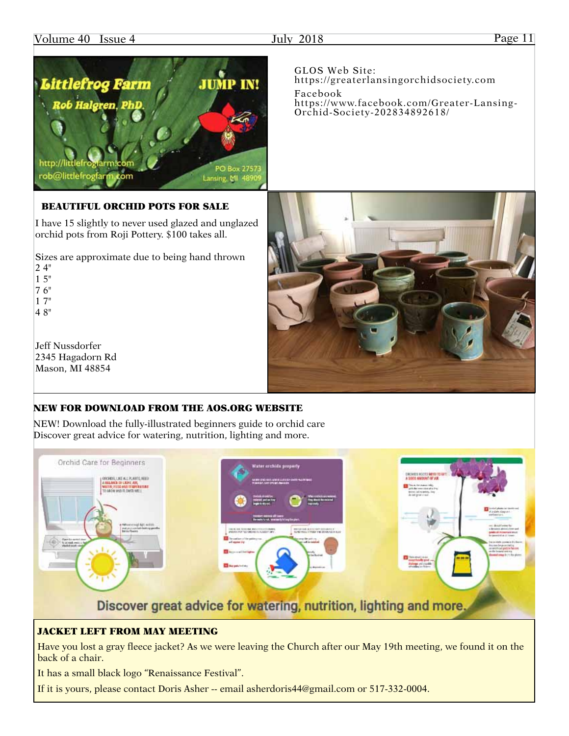#### Volume 40 Issue 4 July 2018 July 2018 Page 11

Littlefrog Farm

## **JUMP IN!** Facebook

http://littlefrog iarm:com cóm rob@littlefrogfan

Lansing, MI 4890

#### BEAUTIFUL ORCHID POTS FOR SALE

PhI

I have 15 slightly to never used glazed and unglazed orchid pots from Roji Pottery. \$100 takes all.

Sizes are approximate due to being hand thrown 2 4" 1 5"

7 6"

1 7" 4 8"

Jeff Nussdorfer 2345 Hagadorn Rd Mason, MI 48854

#### NEW FOR DOWNLOAD FROM THE [AOS.ORG](http://aos.org) WEBSITE

NEW! Download the fully-illustrated beginners guide to orchid care Discover great advice for watering, nutrition, lighting and more.



#### JACKET LEFT FROM MAY MEETING

Have you lost a gray fleece jacket? As we were leaving the Church after our May 19th meeting, we found it on the back of a chair.

It has a small black logo "Renaissance Festival".

If it is yours, please contact Doris Asher -- email asherdoris44@gmail.com or 517-332-0004.

PO Box 2757.

GLOS Web Site: [https://greaterlansingorchidsociety.com](http://greaterlansingorchidsociety.com) [https://www.facebook.com/Greater-](https://www.facebook.com/Greater)Lansing-Orchid-Society-202834892618/